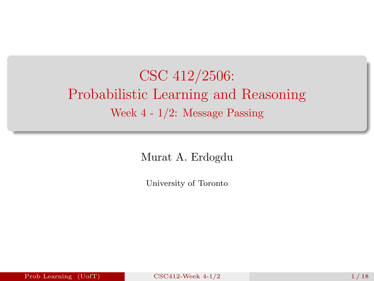# <span id="page-0-0"></span>CSC 412/2506: Probabilistic Learning and Reasoning Week 4 - 1/2: Message Passing

Murat A. Erdogdu

University of Toronto

Prob Learning  $(UofT)$  [CSC412-Week 4-1/2](#page-17-0) 1 1 18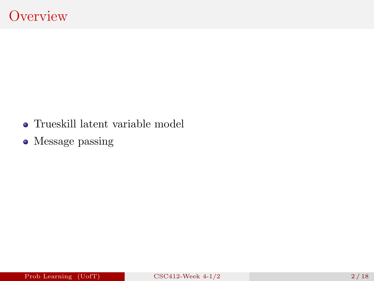- Trueskill latent variable model
- Message passing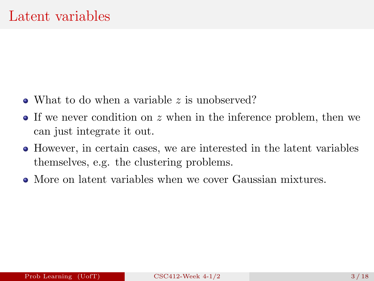- What to do when a variable z is unobserved?
- If we never condition on z when in the inference problem, then we can just integrate it out.
- However, in certain cases, we are interested in the latent variables themselves, e.g. the clustering problems.
- More on latent variables when we cover Gaussian mixtures.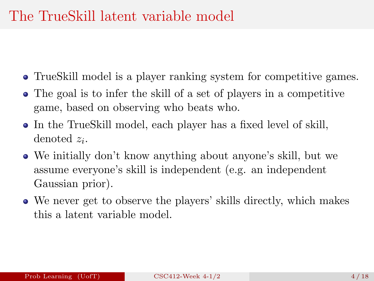#### The TrueSkill latent variable model

- TrueSkill model is a player ranking system for competitive games.
- The goal is to infer the skill of a set of players in a competitive game, based on observing who beats who.
- In the TrueSkill model, each player has a fixed level of skill, denoted  $z_i$ .
- We initially don't know anything about anyone's skill, but we assume everyone's skill is independent (e.g. an independent Gaussian prior).
- We never get to observe the players' skills directly, which makes this a latent variable model.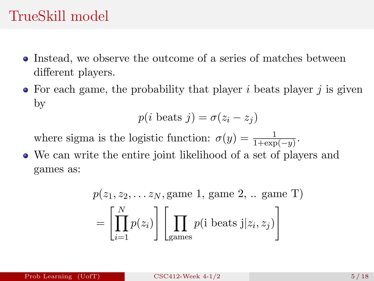#### TrueSkill model

- Instead, we observe the outcome of a series of matches between different players.
- $\bullet$  For each game, the probability that player i beats player i is given by

$$
p(i \text{ beats } j) = \sigma(z_i - z_j)
$$

where sigma is the logistic function:  $\sigma(y) = \frac{1}{1 + \exp(-y)}$ .

We can write the entire joint likelihood of a set of players and games as:

$$
p(z_1, z_2, \dots z_N, \text{game 1, game 2, \dots \text{game T})
$$

$$
= \left[ \prod_{i=1}^N p(z_i) \right] \left[ \prod_{\text{games}} p(\text{i beats } j | z_i, z_j) \right]
$$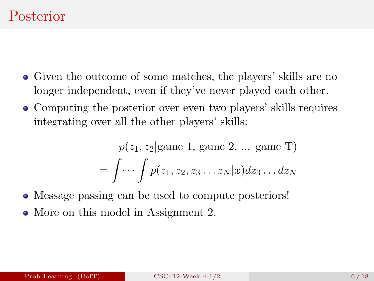- Given the outcome of some matches, the players' skills are no longer independent, even if they've never played each other.
- Computing the posterior over even two players' skills requires integrating over all the other players' skills:

$$
p(z_1, z_2 | \text{game } 1, \text{ game } 2, \dots \text{ game } T)
$$

$$
= \int \cdots \int p(z_1, z_2, z_3 \dots z_N | x) dz_3 \dots dz_N
$$

Message passing can be used to compute posteriors! • More on this model in Assignment 2.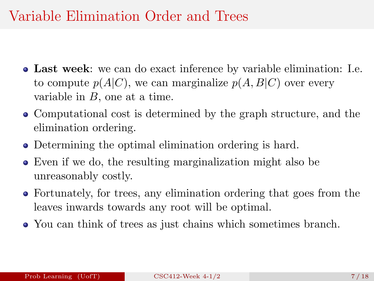## Variable Elimination Order and Trees

- Last week: we can do exact inference by variable elimination: I.e. to compute  $p(A|C)$ , we can marginalize  $p(A, B|C)$  over every variable in  $B$ , one at a time.
- Computational cost is determined by the graph structure, and the elimination ordering.
- Determining the optimal elimination ordering is hard.
- Even if we do, the resulting marginalization might also be unreasonably costly.
- Fortunately, for trees, any elimination ordering that goes from the leaves inwards towards any root will be optimal.
- You can think of trees as just chains which sometimes branch.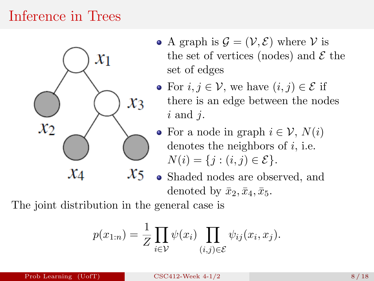## Inference in Trees



- A graph is  $\mathcal{G} = (\mathcal{V}, \mathcal{E})$  where  $\mathcal{V}$  is the set of vertices (nodes) and  $\mathcal E$  the set of edges
- For  $i, j \in V$ , we have  $(i, j) \in \mathcal{E}$  if there is an edge between the nodes  $i$  and  $j$ .
- For a node in graph  $i \in \mathcal{V}$ ,  $N(i)$ denotes the neighbors of  $i$ , i.e.  $N(i) = \{j : (i, j) \in \mathcal{E}\}.$
- Shaded nodes are observed, and denoted by  $\bar{x}_2, \bar{x}_4, \bar{x}_5$ .

The joint distribution in the general case is

$$
p(x_{1:n}) = \frac{1}{Z} \prod_{i \in \mathcal{V}} \psi(x_i) \prod_{(i,j) \in \mathcal{E}} \psi_{ij}(x_i, x_j).
$$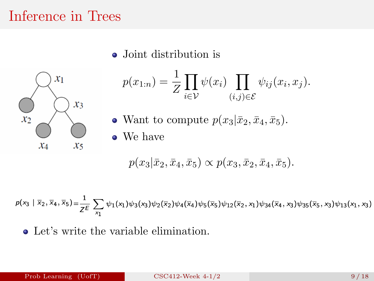#### Inference in Trees

• Joint distribution is

$$
\begin{matrix}\n\begin{matrix}\n x_1 \\
x_2\n\end{matrix} \\
x_4\n\end{matrix}\n\begin{matrix}\n x_3 \\
x_5\n\end{matrix}
$$

$$
p(x_{1:n}) = \frac{1}{Z} \prod_{i \in \mathcal{V}} \psi(x_i) \prod_{(i,j) \in \mathcal{E}} \psi_{ij}(x_i, x_j).
$$
  
Want to compute  $p(x_3 | \bar{x}_2, \bar{x}_4, \bar{x}_5).$ 

We have

$$
p(x_3|\bar{x}_2, \bar{x}_4, \bar{x}_5) \propto p(x_3, \bar{x}_2, \bar{x}_4, \bar{x}_5).
$$

 $p(x_3 | \overline{x}_2, \overline{x}_4, \overline{x}_5) = \frac{1}{Z^E} \sum_{x_1} \psi_1(x_1) \psi_3(x_3) \psi_2(\overline{x}_2) \psi_4(\overline{x}_4) \psi_5(\overline{x}_5) \psi_{12}(\overline{x}_2, x_1) \psi_{34}(\overline{x}_4, x_3) \psi_{35}(\overline{x}_5, x_3) \psi_{13}(x_1, x_3)$ 

Let's write the variable elimination.

 $\bullet$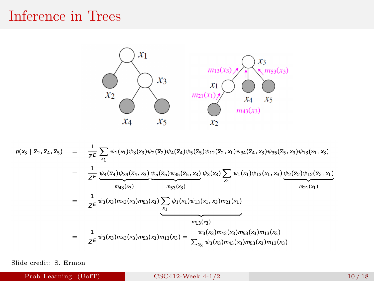#### Inference in Trees



$$
p(x_3 | \bar{x}_2, \bar{x}_4, \bar{x}_5) = \frac{1}{Z\bar{E}} \sum_{x_1} \psi_1(x_1) \psi_3(x_3) \psi_2(\bar{x}_2) \psi_4(\bar{x}_4) \psi_5(\bar{x}_5) \psi_{12}(\bar{x}_2, x_1) \psi_{34}(\bar{x}_4, x_3) \psi_{35}(\bar{x}_5, x_3) \psi_{13}(x_1, x_3)
$$
  
\n
$$
= \frac{1}{Z\bar{E}} \psi_4(\bar{x}_4) \psi_{34}(\bar{x}_4, x_3) \psi_5(\bar{x}_5) \psi_{35}(\bar{x}_5, x_3) \psi_3(x_3) \sum_{x_1} \psi_1(x_1) \psi_{13}(x_1, x_3) \psi_2(\bar{x}_2) \psi_{12}(\bar{x}_2, x_1)
$$
  
\n
$$
= \frac{1}{Z\bar{E}} \psi_3(x_3) m_{43}(x_3) m_{53}(x_3) \sum_{x_1} \psi_1(x_1) \psi_{13}(x_1, x_3) m_{21}(x_1)
$$
  
\n
$$
= \frac{1}{Z\bar{E}} \psi_3(x_3) m_{43}(x_3) m_{53}(x_3) m_{13}(x_3) = \frac{\psi_3(x_3) m_{43}(x_3) m_{53}(x_3) m_{13}(x_3)}{\psi_3(x_3) m_{43}(x_3) m_{53}(x_3) m_{13}(x_3)}
$$

Slide credit: S. Ermon

Prob Learning (UofT) [CSC412-Week 4-1/2](#page-0-0) 10 / 18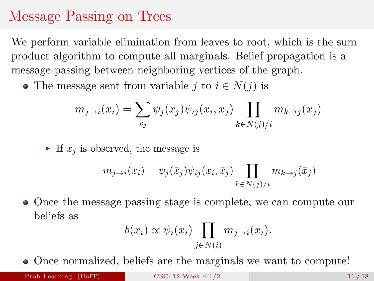## Message Passing on Trees

We perform variable elimination from leaves to root, which is the sum product algorithm to compute all marginals. Belief propagation is a message-passing between neighboring vertices of the graph.

• The message sent from variable j to  $i \in N(j)$  is

$$
m_{j \to i}(x_i) = \sum_{x_j} \psi_j(x_j) \psi_{ij}(x_i, x_j) \prod_{k \in N(j)/i} m_{k \to j}(x_j)
$$

If  $x_i$  is observed, the message is

$$
m_{j \to i}(x_i) = \psi_j(\bar{x}_j) \psi_{ij}(x_i, \bar{x}_j) \prod_{k \in N(j)/i} m_{k \to j}(\bar{x}_j)
$$

Once the message passing stage is complete, we can compute our beliefs as

$$
b(x_i) \propto \psi_i(x_i) \prod_{j \in N(i)} m_{j \to i}(x_i).
$$

• Once normalized, beliefs are the marginals we want to compute!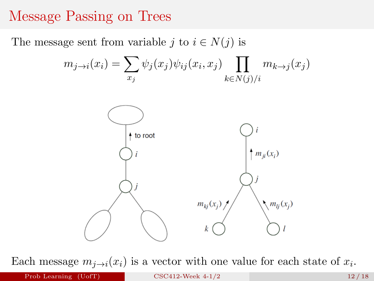#### Message Passing on Trees

The message sent from variable j to  $i \in N(j)$  is

$$
m_{j \to i}(x_i) = \sum_{x_j} \psi_j(x_j) \psi_{ij}(x_i, x_j) \prod_{k \in N(j)/i} m_{k \to j}(x_j)
$$



Each message  $m_{j\rightarrow i}(x_i)$  is a vector with one value for each state of  $x_i$ .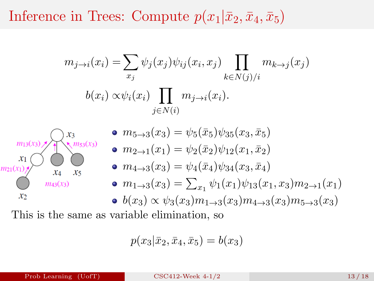## Inference in Trees: Compute  $p(x_1|\bar{x}_2, \bar{x}_4, \bar{x}_5)$

$$
m_{j \to i}(x_i) = \sum_{x_j} \psi_j(x_j) \psi_{ij}(x_i, x_j) \prod_{k \in N(j)/i} m_{k \to j}(x_j)
$$
  
\n
$$
b(x_i) \propto \psi_i(x_i) \prod_{j \in N(i)} m_{j \to i}(x_i).
$$
  
\n
$$
\sum_{j \in N(i)} m_{j \to i}(x_i).
$$
  
\n
$$
m_{j \to i}(x_i) \sum_{j \in N(i)} s_j = \psi_5(\bar{x}_5) \psi_{35}(x_3, \bar{x}_5)
$$
  
\n
$$
m_{j \to i}(x_i) \sum_{x_i \neq x_j} s_i
$$
  
\n
$$
m_{j \to i}(x_1) = \psi_2(\bar{x}_2) \psi_{12}(x_1, \bar{x}_2)
$$
  
\n
$$
m_{j \to i}(x_1) \psi_{34}(x_3, \bar{x}_4)
$$
  
\n
$$
m_{j \to i}(x_3) = \sum_{x_1} \psi_1(x_1) \psi_{13}(x_1, x_3) m_{2 \to 1}(x_1)
$$
  
\n
$$
b(x_3) \propto \psi_3(x_3) m_{1 \to 3}(x_3) m_{4 \to 3}(x_3) m_{5 \to 3}(x_3)
$$
  
\nThis is the same as variable elimination, so

$$
p(x_3|\bar{x}_2, \bar{x}_4, \bar{x}_5) = b(x_3)
$$

 $x_2$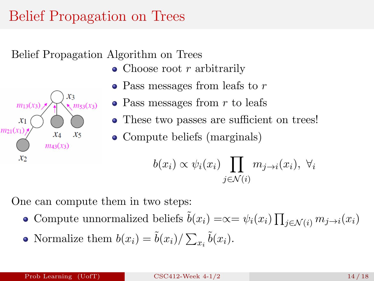## Belief Propagation on Trees

Belief Propagation Algorithm on Trees

- Choose root  $r$  arbitrarily
- Pass messages from leafs to r
- $\bullet$  Pass messages from r to leafs
- These two passes are sufficient on trees!
- Compute beliefs (marginals)

$$
b(x_i) \propto \psi_i(x_i) \prod_{j \in \mathcal{N}(i)} m_{j \to i}(x_i), \ \forall i
$$

One can compute them in two steps:

- Compute unnormalized beliefs  $\tilde{b}(x_i) = \infty = \psi_i(x_i) \prod_{j \in \mathcal{N}(i)} m_{j \to i}(x_i)$
- Normalize them  $b(x_i) = \tilde{b}(x_i) / \sum_{x_i} \tilde{b}(x_i)$ .

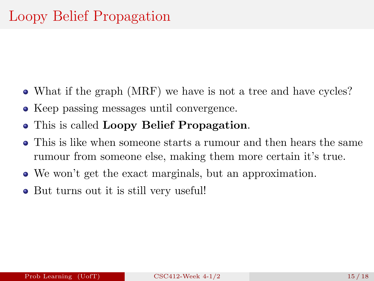- What if the graph (MRF) we have is not a tree and have cycles?
- Keep passing messages until convergence.
- This is called Loopy Belief Propagation.
- This is like when someone starts a rumour and then hears the same rumour from someone else, making them more certain it's true.
- We won't get the exact marginals, but an approximation.
- But turns out it is still very useful!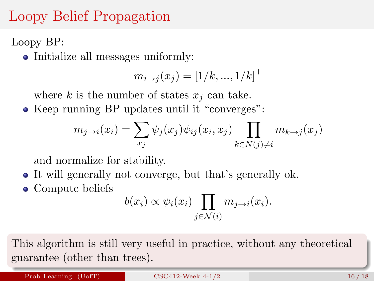## Loopy Belief Propagation

Loopy BP:

• Initialize all messages uniformly:

$$
m_{i \to j}(x_j) = [1/k, ..., 1/k]^\top
$$

where k is the number of states  $x_i$  can take.

• Keep running BP updates until it "converges":

$$
m_{j \to i}(x_i) = \sum_{x_j} \psi_j(x_j) \psi_{ij}(x_i, x_j) \prod_{k \in N(j) \neq i} m_{k \to j}(x_j)
$$

and normalize for stability.

- It will generally not converge, but that's generally ok.
- Compute beliefs

$$
b(x_i) \propto \psi_i(x_i) \prod_{j \in \mathcal{N}(i)} m_{j \to i}(x_i).
$$

This algorithm is still very useful in practice, without any theoretical guarantee (other than trees).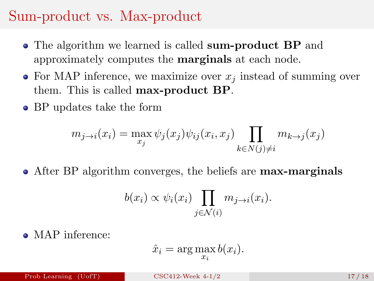## Sum-product vs. Max-product

- The algorithm we learned is called **sum-product BP** and approximately computes the marginals at each node.
- For MAP inference, we maximize over  $x_i$  instead of summing over them. This is called max-product BP.
- BP updates take the form

$$
m_{j \to i}(x_i) = \max_{x_j} \psi_j(x_j) \psi_{ij}(x_i, x_j) \prod_{k \in N(j) \neq i} m_{k \to j}(x_j)
$$

• After BP algorithm converges, the beliefs are **max-marginals** 

$$
b(x_i) \propto \psi_i(x_i) \prod_{j \in \mathcal{N}(i)} m_{j \to i}(x_i).
$$

• MAP inference:

$$
\hat{x}_i = \arg\max_{x_i} b(x_i).
$$

Prob Learning  $(Uo f T)$  [CSC412-Week 4-1/2](#page-0-0) 17/18